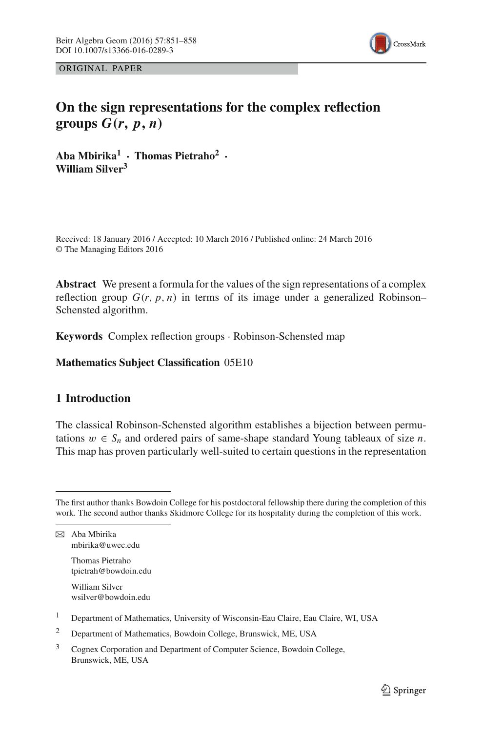

ORIGINAL PAPER

# **On the sign representations for the complex reflection groups**  $G(r, p, n)$

**Aba Mbirika1 · Thomas Pietraho<sup>2</sup> · William Silver3**

Received: 18 January 2016 / Accepted: 10 March 2016 / Published online: 24 March 2016 © The Managing Editors 2016

**Abstract** We present a formula for the values of the sign representations of a complex reflection group  $G(r, p, n)$  in terms of its image under a generalized Robinson– Schensted algorithm.

**Keywords** Complex reflection groups · Robinson-Schensted map

**Mathematics Subject Classification** 05E10

# **1 Introduction**

The classical Robinson-Schensted algorithm establishes a bijection between permutations  $w \in S_n$  and ordered pairs of same-shape standard Young tableaux of size *n*. This map has proven particularly well-suited to certain questions in the representation

 $\boxtimes$  Aba Mbirika mbirika@uwec.edu

> Thomas Pietraho tpietrah@bowdoin.edu

> William Silver wsilver@bowdoin.edu

- <sup>1</sup> Department of Mathematics, University of Wisconsin-Eau Claire, Eau Claire, WI, USA
- <sup>2</sup> Department of Mathematics, Bowdoin College, Brunswick, ME, USA
- <sup>3</sup> Cognex Corporation and Department of Computer Science, Bowdoin College, Brunswick, ME, USA

The first author thanks Bowdoin College for his postdoctoral fellowship there during the completion of this work. The second author thanks Skidmore College for its hospitality during the completion of this work.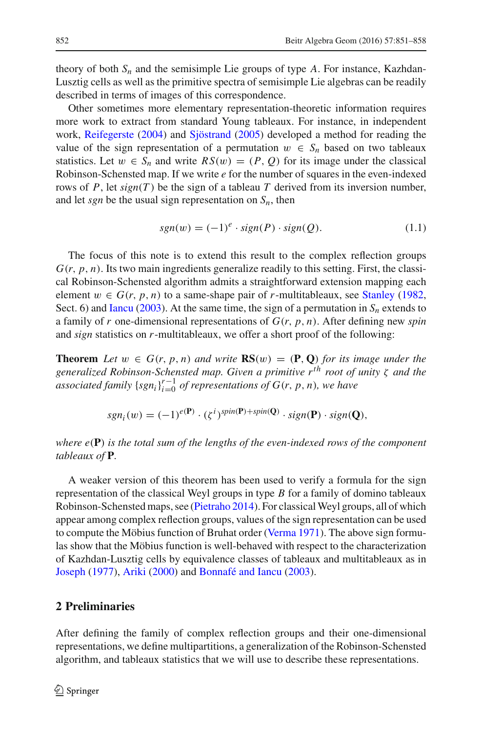theory of both  $S_n$  and the semisimple Lie groups of type  $A$ . For instance, Kazhdan-Lusztig cells as well as the primitive spectra of semisimple Lie algebras can be readily described in terms of images of this correspondence.

Other sometimes more elementary representation-theoretic information requires more work to extract from standard Young tableaux. For instance, in independent work, [Reifegerste](#page-7-0) [\(2004\)](#page-7-0) and [Sjöstrand](#page-7-1) [\(2005\)](#page-7-1) developed a method for reading the value of the sign representation of a permutation  $w \in S_n$  based on two tableaux statistics. Let  $w \in S_n$  and write  $RS(w) = (P, Q)$  for its image under the classical Robinson-Schensted map. If we write *e* for the number of squares in the even-indexed rows of  $P$ , let  $sign(T)$  be the sign of a tableau  $T$  derived from its inversion number, and let *sgn* be the usual sign representation on  $S_n$ , then

$$
sgn(w) = (-1)^e \cdot sign(P) \cdot sign(Q). \tag{1.1}
$$

<span id="page-1-0"></span>The focus of this note is to extend this result to the complex reflection groups  $G(r, p, n)$ . Its two main ingredients generalize readily to this setting. First, the classical Robinson-Schensted algorithm admits a straightforward extension mapping each element  $w \in G(r, p, n)$  to a same-shape pair of *r*-multitableaux, see [Stanley](#page-7-2) [\(1982,](#page-7-2) Sect. 6) and [Iancu](#page-7-3) [\(2003\)](#page-7-3). At the same time, the sign of a permutation in  $S_n$  extends to a family of *r* one-dimensional representations of *G*(*r*, *p*, *n*). After defining new *spin* and *sign* statistics on *r*-multitableaux, we offer a short proof of the following:

**Theorem** Let  $w \in G(r, p, n)$  and write  $\mathbb{RS}(w) = (\mathbb{P}, \mathbb{Q})$  for its image under the *generalized Robinson-Schensted map. Given a primitive rth root of unity* ζ *and the associated family*  $\{sgn_i\}_{i=0}^{r-1}$  *of representations of G*(*r*, *p*, *n*)*, we have* 

$$
sgn_i(w) = (-1)^{e(\mathbf{P})} \cdot (\zeta^i)^{spin(\mathbf{P})+spin(\mathbf{Q})} \cdot sign(\mathbf{P}) \cdot sign(\mathbf{Q}),
$$

*where e*(**P**) *is the total sum of the lengths of the even-indexed rows of the component tableaux of* **P***.*

A weaker version of this theorem has been used to verify a formula for the sign representation of the classical Weyl groups in type *B* for a family of domino tableaux Robinson-Schensted maps, see [\(Pietraho 2014](#page-7-4)). For classicalWeyl groups, all of which appear among complex reflection groups, values of the sign representation can be used to compute the Möbius function of Bruhat order [\(Verma 1971](#page-7-5)). The above sign formulas show that the Möbius function is well-behaved with respect to the characterization of Kazhdan-Lusztig cells by equivalence classes of tableaux and multitableaux as in [Joseph](#page-7-6) [\(1977\)](#page-7-6), [Ariki](#page-7-7) [\(2000\)](#page-7-7) and [Bonnafé and Iancu](#page-7-8) [\(2003](#page-7-8)).

## **2 Preliminaries**

After defining the family of complex reflection groups and their one-dimensional representations, we define multipartitions, a generalization of the Robinson-Schensted algorithm, and tableaux statistics that we will use to describe these representations.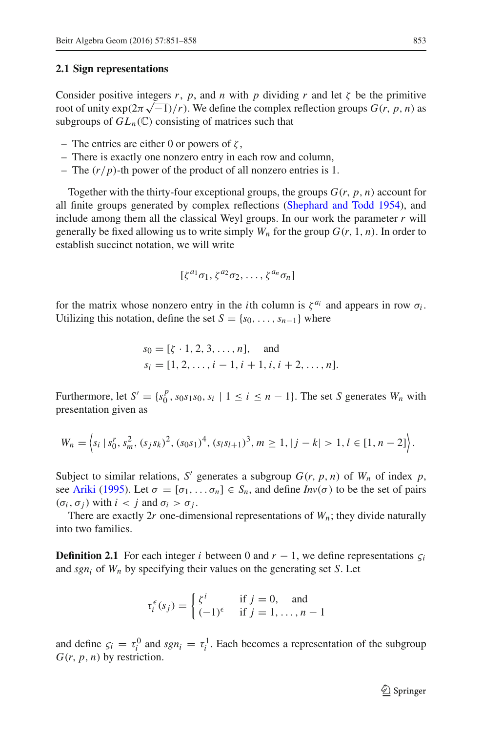#### **2.1 Sign representations**

Consider positive integers *r*, *p*, and *n* with *p* dividing *r* and let  $\zeta$  be the primitive root of unity  $\exp(2\pi\sqrt{-1})/r$ ). We define the complex reflection groups  $G(r, p, n)$  as subgroups of  $GL_n(\mathbb{C})$  consisting of matrices such that

- The entries are either 0 or powers of  $\zeta$ ,
- There is exactly one nonzero entry in each row and column,
- The (*r*/*p*)-th power of the product of all nonzero entries is 1.

Together with the thirty-four exceptional groups, the groups  $G(r, p, n)$  account for all finite groups generated by complex reflections [\(Shephard and Todd 1954](#page-7-9)), and include among them all the classical Weyl groups. In our work the parameter *r* will generally be fixed allowing us to write simply  $W_n$  for the group  $G(r, 1, n)$ . In order to establish succinct notation, we will write

$$
[\zeta^{a_1}\sigma_1,\zeta^{a_2}\sigma_2,\ldots,\zeta^{a_n}\sigma_n]
$$

for the matrix whose nonzero entry in the *i*th column is  $\zeta^{a_i}$  and appears in row  $\sigma_i$ . Utilizing this notation, define the set  $S = \{s_0, \ldots, s_{n-1}\}\$  where

$$
s_0 = [\zeta \cdot 1, 2, 3, ..., n],
$$
 and  
\n $s_i = [1, 2, ..., i - 1, i + 1, i, i + 2, ..., n].$ 

Furthermore, let  $S' = \{s_0^p, s_0s_1s_0, s_i \mid 1 \le i \le n - 1\}$ . The set *S* generates  $W_n$  with presentation given as

$$
W_n = \left\langle s_i \, | \, s_0^r, s_m^2, (s_j s_k)^2, (s_0 s_1)^4, (s_l s_{l+1})^3, m \ge 1, |j - k| > 1, l \in [1, n - 2] \right\rangle.
$$

Subject to similar relations, *S'* generates a subgroup  $G(r, p, n)$  of  $W_n$  of index  $p$ , see [Ariki](#page-7-10) [\(1995](#page-7-10)). Let  $\sigma = [\sigma_1, \ldots \sigma_n] \in S_n$ , and define  $Inv(\sigma)$  to be the set of pairs  $(\sigma_i, \sigma_j)$  with  $i < j$  and  $\sigma_i > \sigma_j$ .

There are exactly  $2r$  one-dimensional representations of  $W_n$ ; they divide naturally into two families.

**Definition 2.1** For each integer *i* between 0 and  $r - 1$ , we define representations  $\varsigma_i$ and  $sgn_i$  of  $W_n$  by specifying their values on the generating set *S*. Let

$$
\tau_i^{\epsilon}(s_j) = \begin{cases} \zeta^i & \text{if } j = 0, \text{ and} \\ (-1)^{\epsilon} & \text{if } j = 1, \dots, n-1 \end{cases}
$$

and define  $\zeta_i = \tau_i^0$  and  $sgn_i = \tau_i^1$ . Each becomes a representation of the subgroup  $G(r, p, n)$  by restriction.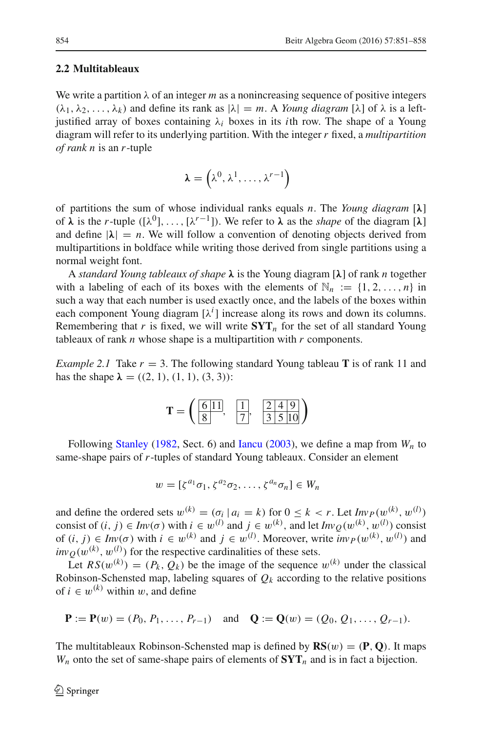#### <span id="page-3-0"></span>**2.2 Multitableaux**

We write a partition  $\lambda$  of an integer *m* as a nonincreasing sequence of positive integers  $(\lambda_1, \lambda_2, \ldots, \lambda_k)$  and define its rank as  $|\lambda| = m$ . A *Young diagram*  $[\lambda]$  of  $\lambda$  is a leftjustified array of boxes containing  $\lambda_i$  boxes in its *i*th row. The shape of a Young diagram will refer to its underlying partition. With the integer *r* fixed, a *multipartition of rank n* is an *r*-tuple

$$
\boldsymbol{\lambda} = \left(\lambda^0, \lambda^1, \ldots, \lambda^{r-1}\right)
$$

of partitions the sum of whose individual ranks equals *n*. The *Young diagram* [*λ*] of  $\lambda$  is the *r*-tuple ([ $\lambda^0$ ],...,[ $\lambda^{r-1}$ ]). We refer to  $\lambda$  as the *shape* of the diagram [ $\lambda$ ] and define  $|\lambda| = n$ . We will follow a convention of denoting objects derived from multipartitions in boldface while writing those derived from single partitions using a normal weight font.

A *standard Young tableaux of shape λ* is the Young diagram [*λ*] of rank *n* together with a labeling of each of its boxes with the elements of  $\mathbb{N}_n := \{1, 2, ..., n\}$  in such a way that each number is used exactly once, and the labels of the boxes within each component Young diagram  $[\lambda^i]$  increase along its rows and down its columns. Remembering that  $r$  is fixed, we will write  $\mathbf{SYT}_n$  for the set of all standard Young tableaux of rank *n* whose shape is a multipartition with *r* components.

*Example 2.1* Take  $r = 3$ . The following standard Young tableau **T** is of rank 11 and has the shape  $\lambda = ((2, 1), (1, 1), (3, 3))$ :

$$
\mathbf{T} = \left( \frac{6 \, 11}{8}, \frac{1}{7}, \frac{2 \, 4 \, 9}{3 \, 5 \, 10} \right)
$$

Following [Stanley](#page-7-2) [\(1982](#page-7-2), Sect. 6) and [Iancu](#page-7-3) [\(2003](#page-7-3)), we define a map from  $W_n$  to same-shape pairs of *r*-tuples of standard Young tableaux. Consider an element

$$
w = [\zeta^{a_1} \sigma_1, \zeta^{a_2} \sigma_2, \ldots, \zeta^{a_n} \sigma_n] \in W_n
$$

and define the ordered sets  $w^{(k)} = (\sigma_i | a_i = k)$  for  $0 \le k < r$ . Let  $\lim_{(k) \to \infty} p(w^{(k)}, w^{(l)})$ consist of  $(i, j) \in Inv(\sigma)$  with  $i \in w^{(l)}$  and  $j \in w^{(k)}$ , and let  $Inv_Q(w^{(k)}, w^{(l)})$  consist of  $(i, j) \in Inv(\sigma)$  with  $i \in w^{(k)}$  and  $j \in w^{(l)}$ . Moreover, write  $inv_P(w^{(k)}, w^{(l)})$  and  $inv_Q(w^{(k)}, w^{(l)})$  for the respective cardinalities of these sets.

Let  $RS(w^{(k)}) = (P_k, Q_k)$  be the image of the sequence  $w^{(k)}$  under the classical Robinson-Schensted map, labeling squares of  $Q_k$  according to the relative positions of  $i \in w^{(k)}$  within w, and define

$$
\mathbf{P} := \mathbf{P}(w) = (P_0, P_1, \dots, P_{r-1}) \quad \text{and} \quad \mathbf{Q} := \mathbf{Q}(w) = (Q_0, Q_1, \dots, Q_{r-1}).
$$

The multitableaux Robinson-Schensted map is defined by  $\mathbf{RS}(w) = (\mathbf{P}, \mathbf{Q})$ . It maps  $W_n$  onto the set of same-shape pairs of elements of  $\mathbf{SYT}_n$  and is in fact a bijection.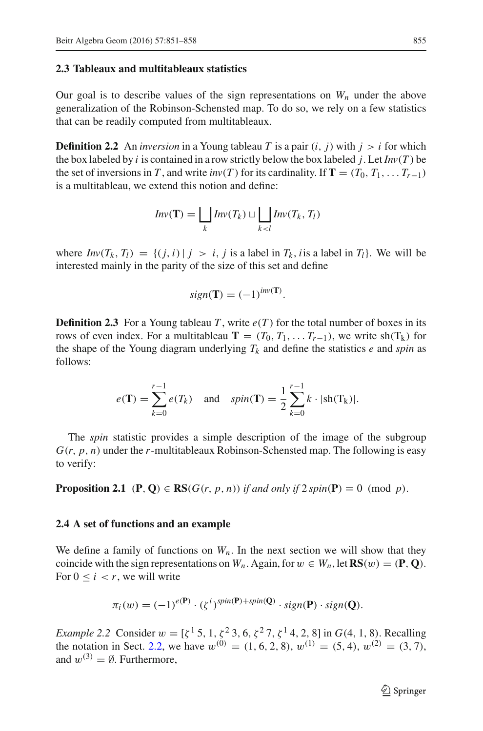#### **2.3 Tableaux and multitableaux statistics**

Our goal is to describe values of the sign representations on  $W_n$  under the above generalization of the Robinson-Schensted map. To do so, we rely on a few statistics that can be readily computed from multitableaux.

**Definition 2.2** An *inversion* in a Young tableau *T* is a pair  $(i, j)$  with  $j > i$  for which the box labeled by *i* is contained in a row strictly below the box labeled *j*. Let  $Inv(T)$  be the set of inversions in *T*, and write *inv*(*T*) for its cardinality. If **T** = ( $T_0, T_1, \ldots, T_{r-1}$ ) is a multitableau, we extend this notion and define:

$$
Inv(\mathbf{T}) = \bigsqcup_{k} Inv(T_k) \sqcup \bigsqcup_{k < l} Inv(T_k, T_l)
$$

where  $Inv(T_k, T_l) = \{(j, i) | j > i, j \text{ is a label in } T_k, i \text{ is a label in } T_l\}$ . We will be interested mainly in the parity of the size of this set and define

$$
sign(\mathbf{T}) = (-1)^{inv(\mathbf{T})}.
$$

**Definition 2.3** For a Young tableau *T*, write  $e(T)$  for the total number of boxes in its rows of even index. For a multitableau **T** =  $(T_0, T_1, \ldots, T_{r-1})$ , we write sh(T<sub>k</sub>) for the shape of the Young diagram underlying  $T_k$  and define the statistics  $e$  and *spin* as follows:

$$
e(\mathbf{T}) = \sum_{k=0}^{r-1} e(T_k)
$$
 and  $spin(\mathbf{T}) = \frac{1}{2} \sum_{k=0}^{r-1} k \cdot |sh(T_k)|$ .

The *spin* statistic provides a simple description of the image of the subgroup *G*(*r*, *p*, *n*) under the *r*-multitableaux Robinson-Schensted map. The following is easy to verify:

**Proposition 2.1** (**P**, **Q**)  $\in$  **RS**( $G(r, p, n)$ ) *if and only if* 2 *spin*( $P$ )  $\equiv$  0 (mod *p*).

#### <span id="page-4-0"></span>**2.4 A set of functions and an example**

We define a family of functions on  $W_n$ . In the next section we will show that they coincide with the sign representations on  $W_n$ . Again, for  $w \in W_n$ , let  $\mathbb{RS}(w) = (\mathbb{P}, \mathbb{Q})$ . For  $0 \le i \le r$ , we will write

$$
\pi_i(w) = (-1)^{e(\mathbf{P})} \cdot (\zeta^i)^{\text{spin}(\mathbf{P}) + \text{spin}(\mathbf{Q})} \cdot \text{sign}(\mathbf{P}) \cdot \text{sign}(\mathbf{Q}).
$$

*Example 2.2* Consider  $w = [\zeta^1 5, 1, \zeta^2 3, 6, \zeta^2 7, \zeta^1 4, 2, 8]$  in  $G(4, 1, 8)$ . Recalling the notation in Sect. [2.2,](#page-3-0) we have  $w^{(0)} = (1, 6, 2, 8), w^{(1)} = (5, 4), w^{(2)} = (3, 7),$ and  $w^{(3)} = \emptyset$ . Furthermore,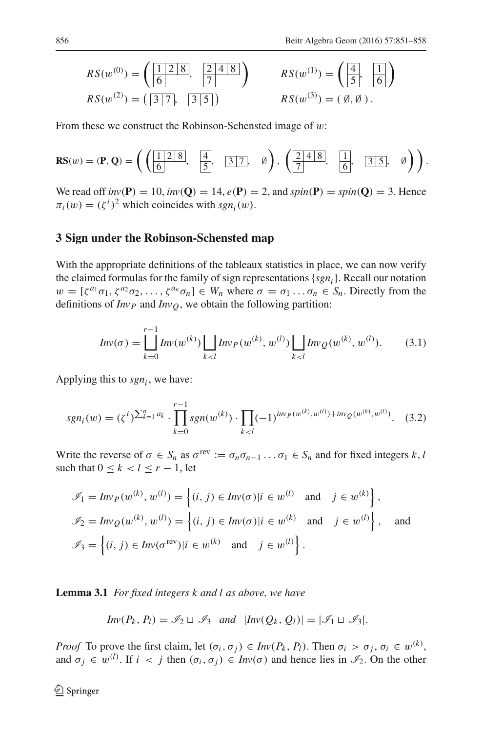$$
RS(w^{(0)}) = \left(\frac{1 \ 2 \ 8}{6}, \ \frac{2 \ 4 \ 8}{7}\right) \qquad RS(w^{(1)}) = \left(\frac{4}{5}, \ \frac{1}{6}\right)
$$
  

$$
RS(w^{(2)}) = \left(\frac{3 \ 7}{6}, \ \frac{3 \ 5}{6}\right) \qquad RS(w^{(3)}) = (\emptyset, \emptyset).
$$

From these we construct the Robinson-Schensted image of  $w$ :

$$
\mathbf{RS}(w) = (\mathbf{P}, \mathbf{Q}) = \left( \begin{pmatrix} \boxed{1 \ 2 \ 8} \\ \boxed{6} \end{pmatrix}, \quad \boxed{\frac{4}{5}}, \quad \boxed{3 \ 7}, \quad \emptyset \right), \left( \boxed{\frac{2 \ 4 \ 8}{7}}, \quad \boxed{\frac{1}{6}}, \quad \boxed{3 \ 5}, \quad \emptyset \right) \right).
$$

We read off  $inv(\mathbf{P}) = 10$ ,  $inv(\mathbf{Q}) = 14$ ,  $e(\mathbf{P}) = 2$ , and  $spin(\mathbf{P}) = spin(\mathbf{Q}) = 3$ . Hence  $\pi_i(w) = (\zeta^i)^2$  which coincides with  $sgn_i(w)$ .

#### **3 Sign under the Robinson-Schensted map**

With the appropriate definitions of the tableaux statistics in place, we can now verify the claimed formulas for the family of sign representations {*sgni*}. Recall our notation  $w = [\zeta^{a_1}\sigma_1, \zeta^{a_2}\sigma_2, \ldots, \zeta^{a_n}\sigma_n] \in W_n$  where  $\sigma = \sigma_1 \ldots \sigma_n \in S_n$ . Directly from the definitions of  $Inv<sub>P</sub>$  and  $Inv<sub>O</sub>$ , we obtain the following partition:

$$
Inv(\sigma) = \bigcup_{k=0}^{r-1} Inv(w^{(k)}) \bigcup_{k < l} Inv_P(w^{(k)}, w^{(l)}) \bigcup_{k < l} Inv_Q(w^{(k)}, w^{(l)}). \tag{3.1}
$$

<span id="page-5-0"></span>Applying this to  $sgn_i$ , we have:

$$
sgn_i(w) = (\zeta^i)^{\sum_{k=1}^n a_k} \cdot \prod_{k=0}^{r-1} sgn(w^{(k)}) \cdot \prod_{k < l} (-1)^{inv_P(w^{(k)}, w^{(l)}) + inv_Q(w^{(k)}, w^{(l)})}.\tag{3.2}
$$

Write the reverse of  $\sigma \in S_n$  as  $\sigma^{\text{rev}} := \sigma_n \sigma_{n-1} \dots \sigma_1 \in S_n$  and for fixed integers *k*, *l* such that  $0 \leq k < l \leq r - 1$ , let

$$
\mathcal{I}_1 = Inv_P(w^{(k)}, w^{(l)}) = \left\{ (i, j) \in Inv(\sigma) | i \in w^{(l)} \text{ and } j \in w^{(k)} \right\},\
$$
  

$$
\mathcal{I}_2 = Inv_Q(w^{(k)}, w^{(l)}) = \left\{ (i, j) \in Inv(\sigma) | i \in w^{(k)} \text{ and } j \in w^{(l)} \right\},\
$$
and
$$
\mathcal{I}_3 = \left\{ (i, j) \in Inv(\sigma^{\text{rev}}) | i \in w^{(k)} \text{ and } j \in w^{(l)} \right\}.
$$

**Lemma 3.1** *For fixed integers k and l as above, we have*

$$
Inv(P_k, P_l) = \mathcal{I}_2 \sqcup \mathcal{I}_3 \text{ and } |Inv(Q_k, Q_l)| = |\mathcal{I}_1 \sqcup \mathcal{I}_3|.
$$

*Proof* To prove the first claim, let  $(\sigma_i, \sigma_j) \in Inv(P_k, P_l)$ . Then  $\sigma_i > \sigma_j, \sigma_i \in w^{(k)}$ , and  $\sigma_j \in w^{(l)}$ . If  $i < j$  then  $(\sigma_i, \sigma_j) \in Inv(\sigma)$  and hence lies in  $\mathcal{I}_2$ . On the other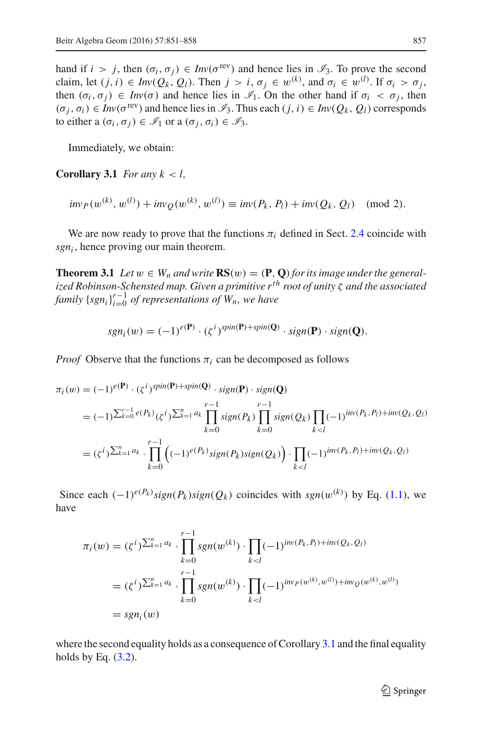hand if  $i > j$ , then  $(\sigma_i, \sigma_j) \in Inv(\sigma^{\text{rev}})$  and hence lies in  $\mathcal{I}_3$ . To prove the second claim, let  $(j, i) \in Inv(Q_k, Q_l)$ . Then  $j > i, \sigma_j \in w^{(k)}$ , and  $\sigma_i \in w^{(l)}$ . If  $\sigma_i > \sigma_j$ , then  $(\sigma_i, \sigma_j) \in Inv(\sigma)$  and hence lies in  $\mathscr{I}_1$ . On the other hand if  $\sigma_i < \sigma_j$ , then  $(\sigma_i, \sigma_i) \in Inv(\sigma^{rev})$  and hence lies in  $\mathcal{I}_3$ . Thus each  $(j, i) \in Inv(Q_k, Q_l)$  corresponds to either a  $(\sigma_i, \sigma_j) \in \mathcal{I}_1$  or a  $(\sigma_i, \sigma_j) \in \mathcal{I}_3$ .

Immediately, we obtain:

<span id="page-6-0"></span>**Corollary 3.1** *For any*  $k < l$ ,

$$
inv_P(w^{(k)}, w^{(l)}) + inv_Q(w^{(k)}, w^{(l)}) \equiv inv(P_k, P_l) + inv(Q_k, Q_l) \pmod{2}.
$$

We are now ready to prove that the functions  $\pi_i$  defined in Sect. [2.4](#page-4-0) coincide with *sgni* , hence proving our main theorem.

**Theorem 3.1** *Let*  $w \in W_n$  *and write*  $\text{RS}(w) = (\textbf{P}, \textbf{Q})$  *for its image under the generalized Robinson-Schensted map. Given a primitive rth root of unity* ζ *and the associated family*  $\{sgn_i\}_{i=0}^{r-1}$  *of representations of*  $W_n$ *, we have* 

$$
sgn_i(w) = (-1)^{e(\mathbf{P})} \cdot (\zeta^i)^{spin(\mathbf{P})+spin(\mathbf{Q})} \cdot sign(\mathbf{P}) \cdot sign(\mathbf{Q}).
$$

*Proof* Observe that the functions  $\pi_i$  can be decomposed as follows

$$
\pi_i(w) = (-1)^{e(\mathbf{P})} \cdot (\zeta^i)^{\text{spin}(\mathbf{P}) + \text{spin}(\mathbf{Q})} \cdot \text{sign}(\mathbf{P}) \cdot \text{sign}(\mathbf{Q})
$$
\n
$$
= (-1)^{\sum_{k=0}^{r-1} e(P_k)} (\zeta^i)^{\sum_{k=1}^{n} a_k} \prod_{k=0}^{r-1} \text{sign}(P_k) \prod_{k=0}^{r-1} \text{sign}(Q_k) \prod_{k < l} (-1)^{\text{inv}(P_k, P_l) + \text{inv}(Q_k, Q_l)}
$$
\n
$$
= (\zeta^i)^{\sum_{k=1}^{n} a_k} \cdot \prod_{k=0}^{r-1} \left( (-1)^{e(P_k)} \text{sign}(P_k) \text{sign}(Q_k) \right) \cdot \prod_{k < l} (-1)^{\text{inv}(P_k, P_l) + \text{inv}(Q_k, Q_l)}
$$

Since each  $(-1)^{e(P_k)} sign(P_k) sign(Q_k)$  coincides with  $sgn(w^{(k)})$  by Eq. [\(1.1\)](#page-1-0), we have

$$
\pi_i(w) = (\zeta^i)^{\sum_{k=1}^n a_k} \cdot \prod_{k=0}^{r-1} sgn(w^{(k)}) \cdot \prod_{k  
\n
$$
= (\zeta^i)^{\sum_{k=1}^n a_k} \cdot \prod_{k=0}^{r-1} sgn(w^{(k)}) \cdot \prod_{k  
\n
$$
= sgn_i(w)
$$
$$
$$

where the second equality holds as a consequence of Corollary  $3.1$  and the final equality holds by Eq.  $(3.2)$ .